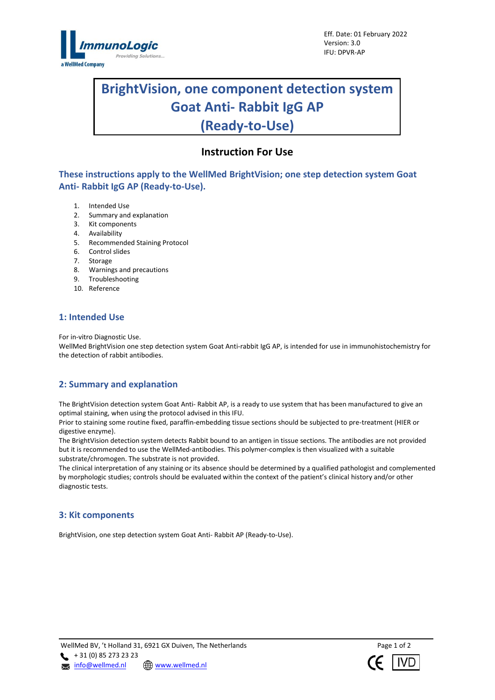

# **BrightVision, one component detection system Goat Anti- Rabbit IgG AP (Ready-to-Use)**

l

# **Instruction For Use**

**These instructions apply to the WellMed BrightVision; one step detection system Goat Anti- Rabbit IgG AP (Ready-to-Use).**

- 1. Intended Use
- 2. Summary and explanation
- 3. Kit components
- 4. Availability
- 5. Recommended Staining Protocol
- 6. Control slides
- 7. Storage
- 8. Warnings and precautions
- 9. Troubleshooting
- 10. Reference

### **1: Intended Use**

For in-vitro Diagnostic Use.

WellMed BrightVision one step detection system Goat Anti-rabbit IgG AP, is intended for use in immunohistochemistry for the detection of rabbit antibodies.

# **2: Summary and explanation**

The BrightVision detection system Goat Anti- Rabbit AP, is a ready to use system that has been manufactured to give an optimal staining, when using the protocol advised in this IFU.

Prior to staining some routine fixed, paraffin-embedding tissue sections should be subjected to pre-treatment (HIER or digestive enzyme).

The BrightVision detection system detects Rabbit bound to an antigen in tissue sections. The antibodies are not provided but it is recommended to use the WellMed-antibodies. This polymer-complex is then visualized with a suitable substrate/chromogen. The substrate is not provided.

The clinical interpretation of any staining or its absence should be determined by a qualified pathologist and complemented by morphologic studies; controls should be evaluated within the context of the patient's clinical history and/or other diagnostic tests.

### **3: Kit components**

BrightVision, one step detection system Goat Anti- Rabbit AP (Ready-to-Use).